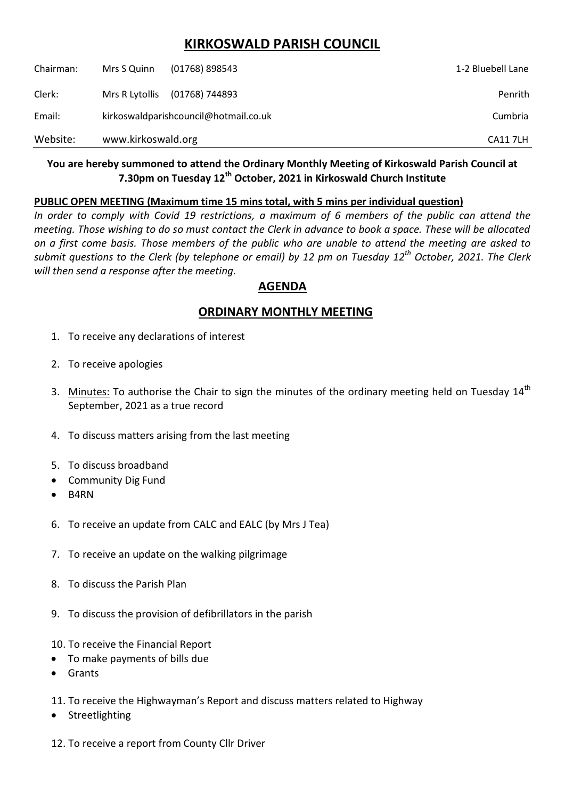# **KIRKOSWALD PARISH COUNCIL**

| Chairman: | Mrs S Quinn                           | $(01768)$ 898543 | 1-2 Bluebell Lane |
|-----------|---------------------------------------|------------------|-------------------|
| Clerk:    | Mrs R Lytollis                        | (01768) 744893   | Penrith           |
| Email:    | kirkoswaldparishcouncil@hotmail.co.uk |                  | Cumbria           |
| Website:  | www.kirkoswald.org                    |                  | <b>CA117LH</b>    |

### **You are hereby summoned to attend the Ordinary Monthly Meeting of Kirkoswald Parish Council at 7.30pm on Tuesday 12th October, 2021 in Kirkoswald Church Institute**

#### **PUBLIC OPEN MEETING (Maximum time 15 mins total, with 5 mins per individual question)**

*In order to comply with Covid 19 restrictions, a maximum of 6 members of the public can attend the meeting. Those wishing to do so must contact the Clerk in advance to book a space. These will be allocated on a first come basis. Those members of the public who are unable to attend the meeting are asked to submit questions to the Clerk (by telephone or email) by 12 pm on Tuesday 12th October, 2021. The Clerk will then send a response after the meeting.*

## **AGENDA**

## **ORDINARY MONTHLY MEETING**

- 1. To receive any declarations of interest
- 2. To receive apologies
- 3. Minutes: To authorise the Chair to sign the minutes of the ordinary meeting held on Tuesday 14<sup>th</sup> September, 2021 as a true record
- 4. To discuss matters arising from the last meeting
- 5. To discuss broadband
- Community Dig Fund
- B4RN
- 6. To receive an update from CALC and EALC (by Mrs J Tea)
- 7. To receive an update on the walking pilgrimage
- 8. To discuss the Parish Plan
- 9. To discuss the provision of defibrillators in the parish
- 10. To receive the Financial Report
- To make payments of bills due
- Grants
- 11. To receive the Highwayman's Report and discuss matters related to Highway
- Streetlighting
- 12. To receive a report from County Cllr Driver